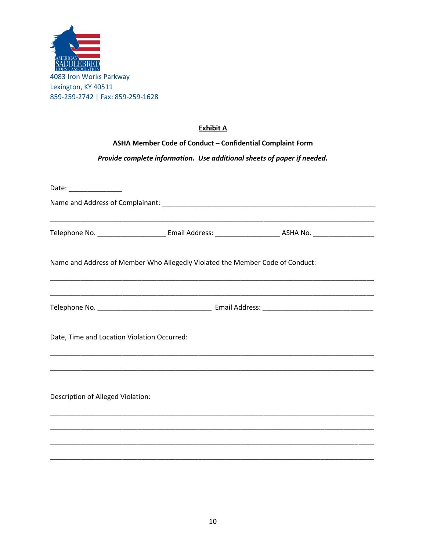

## **Exhibit A**

## ASHA Member Code of Conduct - Confidential Complaint Form

## Provide complete information. Use additional sheets of paper if needed.

| Date: _______________                       |                                                                               |  |  |
|---------------------------------------------|-------------------------------------------------------------------------------|--|--|
|                                             |                                                                               |  |  |
|                                             | Name and Address of Member Who Allegedly Violated the Member Code of Conduct: |  |  |
|                                             |                                                                               |  |  |
| Date, Time and Location Violation Occurred: |                                                                               |  |  |
| Description of Alleged Violation:           | <u> 2000 - Jan James Alexander (j. 1989)</u>                                  |  |  |
|                                             |                                                                               |  |  |
|                                             |                                                                               |  |  |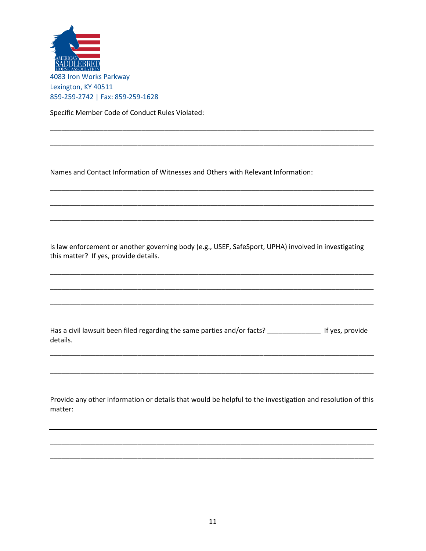

Specific Member Code of Conduct Rules Violated:

Names and Contact Information of Witnesses and Others with Relevant Information:

Is law enforcement or another governing body (e.g., USEF, SafeSport, UPHA) involved in investigating this matter? If yes, provide details.

Has a civil lawsuit been filed regarding the same parties and/or facts? \_\_\_\_\_\_\_\_\_\_\_\_\_\_\_\_ If yes, provide details.

Provide any other information or details that would be helpful to the investigation and resolution of this matter: